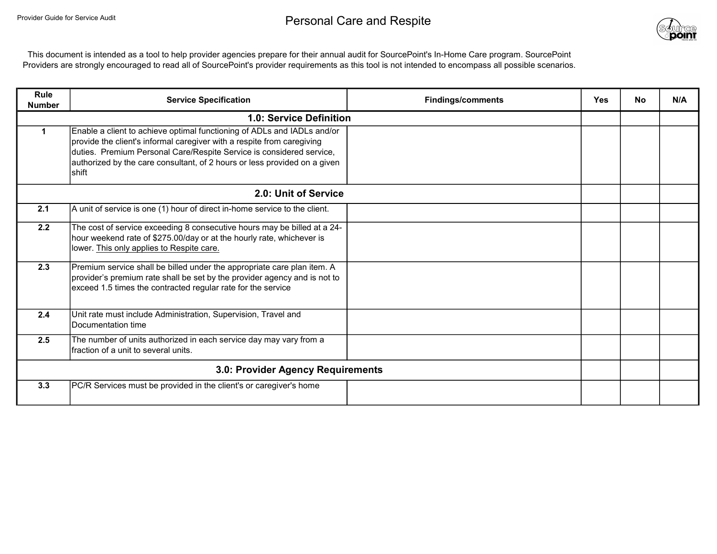

This document is intended as a tool to help provider agencies prepare for their annual audit for SourcePoint's In-Home Care program. SourcePoint Providers are strongly encouraged to read all of SourcePoint's provider requirements as this tool is not intended to encompass all possible scenarios.

| Rule<br><b>Number</b>             | <b>Service Specification</b>                                                                                                                                                                                                                                                                                    | <b>Findings/comments</b> | <b>Yes</b> | No | N/A |
|-----------------------------------|-----------------------------------------------------------------------------------------------------------------------------------------------------------------------------------------------------------------------------------------------------------------------------------------------------------------|--------------------------|------------|----|-----|
|                                   | 1.0: Service Definition                                                                                                                                                                                                                                                                                         |                          |            |    |     |
|                                   | Enable a client to achieve optimal functioning of ADLs and IADLs and/or<br>provide the client's informal caregiver with a respite from caregiving<br>duties. Premium Personal Care/Respite Service is considered service,<br>authorized by the care consultant, of 2 hours or less provided on a given<br>shift |                          |            |    |     |
|                                   | 2.0: Unit of Service                                                                                                                                                                                                                                                                                            |                          |            |    |     |
| 2.1                               | A unit of service is one (1) hour of direct in-home service to the client.                                                                                                                                                                                                                                      |                          |            |    |     |
| 2.2                               | The cost of service exceeding 8 consecutive hours may be billed at a 24-<br>hour weekend rate of \$275.00/day or at the hourly rate, whichever is<br>lower. This only applies to Respite care.                                                                                                                  |                          |            |    |     |
| 2.3                               | Premium service shall be billed under the appropriate care plan item. A<br>provider's premium rate shall be set by the provider agency and is not to<br>exceed 1.5 times the contracted regular rate for the service                                                                                            |                          |            |    |     |
| 2.4                               | Unit rate must include Administration, Supervision, Travel and<br>Documentation time                                                                                                                                                                                                                            |                          |            |    |     |
| 2.5                               | The number of units authorized in each service day may vary from a<br>fraction of a unit to several units.                                                                                                                                                                                                      |                          |            |    |     |
| 3.0: Provider Agency Requirements |                                                                                                                                                                                                                                                                                                                 |                          |            |    |     |
| 3.3                               | PC/R Services must be provided in the client's or caregiver's home                                                                                                                                                                                                                                              |                          |            |    |     |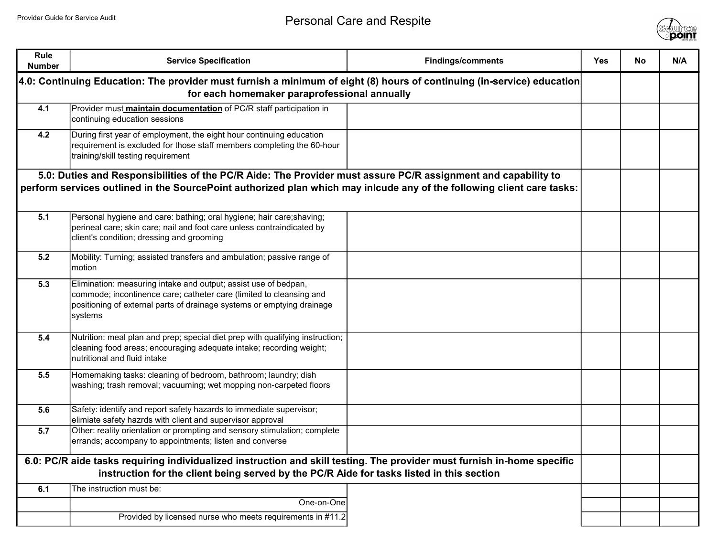

| <b>Rule</b><br><b>Number</b>                                                                                                                                                                                                            | <b>Service Specification</b>                                                                                                                                                                                                | <b>Findings/comments</b> | <b>Yes</b> | No | N/A |
|-----------------------------------------------------------------------------------------------------------------------------------------------------------------------------------------------------------------------------------------|-----------------------------------------------------------------------------------------------------------------------------------------------------------------------------------------------------------------------------|--------------------------|------------|----|-----|
|                                                                                                                                                                                                                                         | 4.0: Continuing Education: The provider must furnish a minimum of eight (8) hours of continuing (in-service) education<br>for each homemaker paraprofessional annually                                                      |                          |            |    |     |
| 4.1                                                                                                                                                                                                                                     | Provider must maintain documentation of PC/R staff participation in<br>continuing education sessions                                                                                                                        |                          |            |    |     |
| 4.2                                                                                                                                                                                                                                     | During first year of employment, the eight hour continuing education<br>requirement is excluded for those staff members completing the 60-hour<br>training/skill testing requirement                                        |                          |            |    |     |
| 5.0: Duties and Responsibilities of the PC/R Aide: The Provider must assure PC/R assignment and capability to<br>perform services outlined in the SourcePoint authorized plan which may inlcude any of the following client care tasks: |                                                                                                                                                                                                                             |                          |            |    |     |
| 5.1                                                                                                                                                                                                                                     | Personal hygiene and care: bathing; oral hygiene; hair care; shaving;<br>perineal care; skin care; nail and foot care unless contraindicated by<br>client's condition; dressing and grooming                                |                          |            |    |     |
| 5.2                                                                                                                                                                                                                                     | Mobility: Turning; assisted transfers and ambulation; passive range of<br>motion                                                                                                                                            |                          |            |    |     |
| 5.3                                                                                                                                                                                                                                     | Elimination: measuring intake and output; assist use of bedpan,<br>commode; incontinence care; catheter care (limited to cleansing and<br>positioning of external parts of drainage systems or emptying drainage<br>systems |                          |            |    |     |
| 5.4                                                                                                                                                                                                                                     | Nutrition: meal plan and prep; special diet prep with qualifying instruction;<br>cleaning food areas; encouraging adequate intake; recording weight;<br>nutritional and fluid intake                                        |                          |            |    |     |
| 5.5                                                                                                                                                                                                                                     | Homemaking tasks: cleaning of bedroom, bathroom; laundry; dish<br>washing; trash removal; vacuuming; wet mopping non-carpeted floors                                                                                        |                          |            |    |     |
| 5.6                                                                                                                                                                                                                                     | Safety: identify and report safety hazards to immediate supervisor;<br>elimiate safety hazrds with client and supervisor approval                                                                                           |                          |            |    |     |
| 5.7                                                                                                                                                                                                                                     | Other: reality orientation or prompting and sensory stimulation; complete<br>errands; accompany to appointments; listen and converse                                                                                        |                          |            |    |     |
| 6.0: PC/R aide tasks requiring individualized instruction and skill testing. The provider must furnish in-home specific<br>instruction for the client being served by the PC/R Aide for tasks listed in this section                    |                                                                                                                                                                                                                             |                          |            |    |     |
| 6.1                                                                                                                                                                                                                                     | The instruction must be:                                                                                                                                                                                                    |                          |            |    |     |
|                                                                                                                                                                                                                                         | One-on-One                                                                                                                                                                                                                  |                          |            |    |     |
|                                                                                                                                                                                                                                         | Provided by licensed nurse who meets requirements in #11.2                                                                                                                                                                  |                          |            |    |     |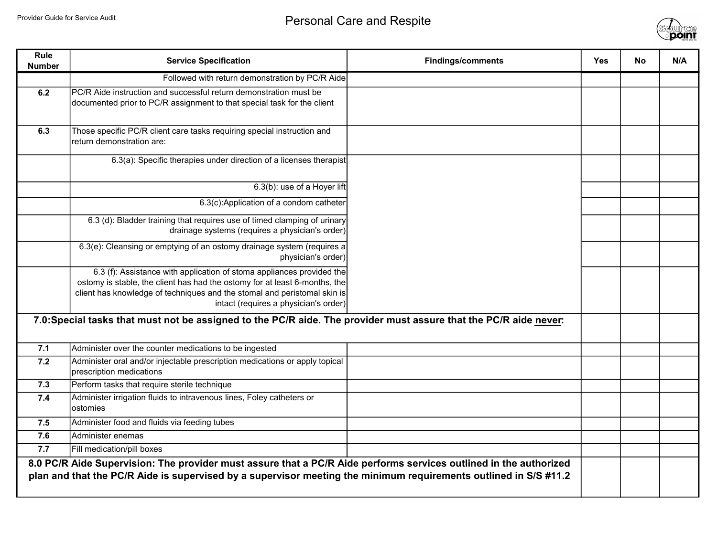

| Rule<br><b>Number</b> | <b>Service Specification</b>                                                                                                                                                                                                                                             | <b>Findings/comments</b> | Yes | <b>No</b> | N/A |
|-----------------------|--------------------------------------------------------------------------------------------------------------------------------------------------------------------------------------------------------------------------------------------------------------------------|--------------------------|-----|-----------|-----|
|                       | Followed with return demonstration by PC/R Aide                                                                                                                                                                                                                          |                          |     |           |     |
| 6.2                   | PC/R Aide instruction and successful return demonstration must be<br>documented prior to PC/R assignment to that special task for the client                                                                                                                             |                          |     |           |     |
| 6.3                   | Those specific PC/R client care tasks requiring special instruction and<br>return demonstration are:                                                                                                                                                                     |                          |     |           |     |
|                       | 6.3(a): Specific therapies under direction of a licenses therapist                                                                                                                                                                                                       |                          |     |           |     |
|                       | 6.3(b): use of a Hoyer lift                                                                                                                                                                                                                                              |                          |     |           |     |
|                       | 6.3(c):Application of a condom catheter                                                                                                                                                                                                                                  |                          |     |           |     |
|                       | 6.3 (d): Bladder training that requires use of timed clamping of urinary<br>drainage systems (requires a physician's order)                                                                                                                                              |                          |     |           |     |
|                       | 6.3(e): Cleansing or emptying of an ostomy drainage system (requires a<br>physician's order)                                                                                                                                                                             |                          |     |           |     |
|                       | 6.3 (f): Assistance with application of stoma appliances provided the<br>ostomy is stable, the client has had the ostomy for at least 6-months, the<br>client has knowledge of techniques and the stomal and peristomal skin is<br>intact (requires a physician's order) |                          |     |           |     |
|                       | 7.0:Special tasks that must not be assigned to the PC/R aide. The provider must assure that the PC/R aide never:                                                                                                                                                         |                          |     |           |     |
| 7.1                   | Administer over the counter medications to be ingested                                                                                                                                                                                                                   |                          |     |           |     |
| 7.2                   | Administer oral and/or injectable prescription medications or apply topical<br>prescription medications                                                                                                                                                                  |                          |     |           |     |
| 7.3                   | Perform tasks that require sterile technique                                                                                                                                                                                                                             |                          |     |           |     |
| 7.4                   | Administer irrigation fluids to intravenous lines, Foley catheters or<br>ostomies                                                                                                                                                                                        |                          |     |           |     |
| 7.5                   | Administer food and fluids via feeding tubes                                                                                                                                                                                                                             |                          |     |           |     |
| 7.6                   | Administer enemas                                                                                                                                                                                                                                                        |                          |     |           |     |
| 7.7                   | Fill medication/pill boxes                                                                                                                                                                                                                                               |                          |     |           |     |
|                       | 8.0 PC/R Aide Supervision: The provider must assure that a PC/R Aide performs services outlined in the authorized<br>plan and that the PC/R Aide is supervised by a supervisor meeting the minimum requirements outlined in S/S #11.2                                    |                          |     |           |     |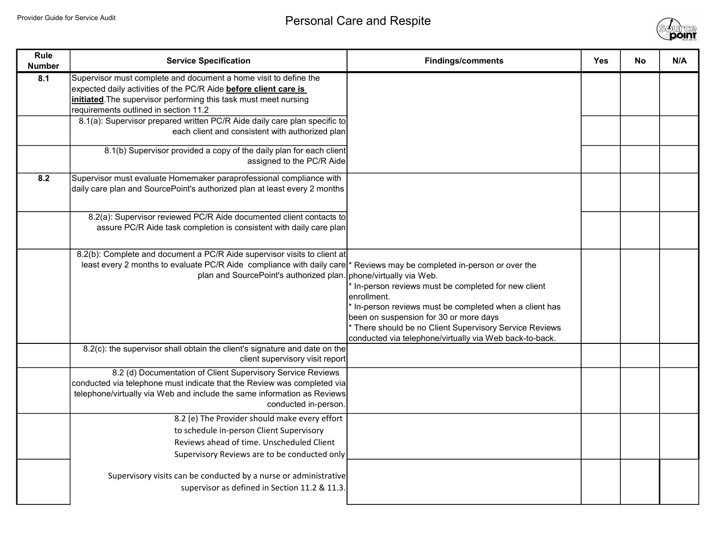

| <b>Rule</b><br><b>Number</b> | <b>Service Specification</b>                                                                                                                                                                                                                                           | <b>Findings/comments</b>                                                                                                                                                                                                                                                                   | <b>Yes</b> | <b>No</b> | N/A |
|------------------------------|------------------------------------------------------------------------------------------------------------------------------------------------------------------------------------------------------------------------------------------------------------------------|--------------------------------------------------------------------------------------------------------------------------------------------------------------------------------------------------------------------------------------------------------------------------------------------|------------|-----------|-----|
| 8.1                          | Supervisor must complete and document a home visit to define the<br>expected daily activities of the PC/R Aide <b>before client care is</b><br>initiated. The supervisor performing this task must meet nursing<br>requirements outlined in section 11.2               |                                                                                                                                                                                                                                                                                            |            |           |     |
|                              | 8.1(a): Supervisor prepared written PC/R Aide daily care plan specific to<br>each client and consistent with authorized plan                                                                                                                                           |                                                                                                                                                                                                                                                                                            |            |           |     |
|                              | 8.1(b) Supervisor provided a copy of the daily plan for each client<br>assigned to the PC/R Aide                                                                                                                                                                       |                                                                                                                                                                                                                                                                                            |            |           |     |
| 8.2                          | Supervisor must evaluate Homemaker paraprofessional compliance with<br>daily care plan and SourcePoint's authorized plan at least every 2 months                                                                                                                       |                                                                                                                                                                                                                                                                                            |            |           |     |
|                              | 8.2(a): Supervisor reviewed PC/R Aide documented client contacts to<br>assure PC/R Aide task completion is consistent with daily care plan                                                                                                                             |                                                                                                                                                                                                                                                                                            |            |           |     |
|                              | 8.2(b): Complete and document a PC/R Aide supervisor visits to client at<br>least every 2 months to evaluate PC/R Aide compliance with daily care * Reviews may be completed in-person or over the<br>plan and SourcePoint's authorized plan. phone/virtually via Web. | In-person reviews must be completed for new client<br>enrollment.<br>In-person reviews must be completed when a client has<br>been on suspension for 30 or more days<br>* There should be no Client Supervisory Service Reviews<br>conducted via telephone/virtually via Web back-to-back. |            |           |     |
|                              | 8.2(c): the supervisor shall obtain the client's signature and date on the<br>client supervisory visit report                                                                                                                                                          |                                                                                                                                                                                                                                                                                            |            |           |     |
|                              | 8.2 (d) Documentation of Client Supervisory Service Reviews<br>conducted via telephone must indicate that the Review was completed via<br>telephone/virtually via Web and include the same information as Reviews<br>conducted in-person.                              |                                                                                                                                                                                                                                                                                            |            |           |     |
|                              | 8.2 (e) The Provider should make every effort<br>to schedule in-person Client Supervisory<br>Reviews ahead of time. Unscheduled Client<br>Supervisory Reviews are to be conducted only                                                                                 |                                                                                                                                                                                                                                                                                            |            |           |     |
|                              | Supervisory visits can be conducted by a nurse or administrative<br>supervisor as defined in Section 11.2 & 11.3.                                                                                                                                                      |                                                                                                                                                                                                                                                                                            |            |           |     |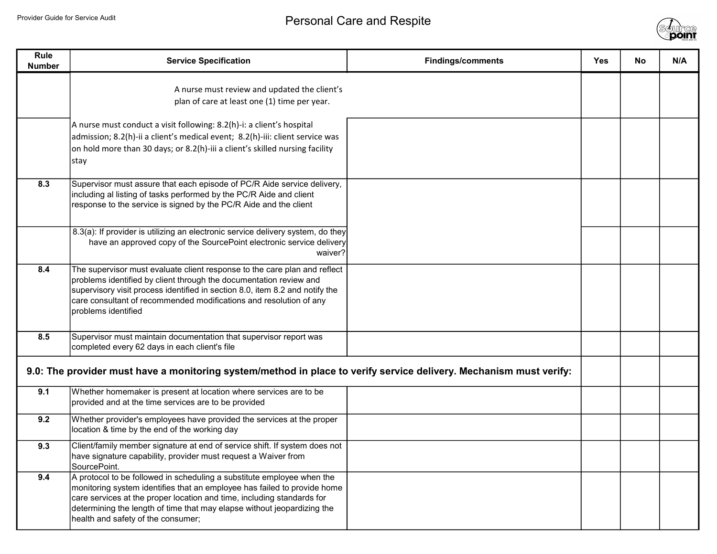

| Rule<br><b>Number</b> | <b>Service Specification</b>                                                                                                                                                                                                                                                                                                                   | <b>Findings/comments</b> | <b>Yes</b> | No. | N/A |
|-----------------------|------------------------------------------------------------------------------------------------------------------------------------------------------------------------------------------------------------------------------------------------------------------------------------------------------------------------------------------------|--------------------------|------------|-----|-----|
|                       | A nurse must review and updated the client's<br>plan of care at least one (1) time per year.                                                                                                                                                                                                                                                   |                          |            |     |     |
|                       | A nurse must conduct a visit following: 8.2(h)-i: a client's hospital<br>admission; 8.2(h)-ii a client's medical event; 8.2(h)-iii: client service was<br>on hold more than 30 days; or 8.2(h)-iii a client's skilled nursing facility<br> stay                                                                                                |                          |            |     |     |
| 8.3                   | Supervisor must assure that each episode of PC/R Aide service delivery,<br>including al listing of tasks performed by the PC/R Aide and client<br>response to the service is signed by the PC/R Aide and the client                                                                                                                            |                          |            |     |     |
|                       | 8.3(a): If provider is utilizing an electronic service delivery system, do they<br>have an approved copy of the SourcePoint electronic service delivery<br>waiver?                                                                                                                                                                             |                          |            |     |     |
| 8.4                   | The supervisor must evaluate client response to the care plan and reflect<br>problems identified by client through the documentation review and<br>supervisory visit process identified in section 8.0, item 8.2 and notify the<br>care consultant of recommended modifications and resolution of any<br>problems identified                   |                          |            |     |     |
| 8.5                   | Supervisor must maintain documentation that supervisor report was<br>completed every 62 days in each client's file                                                                                                                                                                                                                             |                          |            |     |     |
|                       | 9.0: The provider must have a monitoring system/method in place to verify service delivery. Mechanism must verify:                                                                                                                                                                                                                             |                          |            |     |     |
| 9.1                   | Whether homemaker is present at location where services are to be<br>provided and at the time services are to be provided                                                                                                                                                                                                                      |                          |            |     |     |
| 9.2                   | Whether provider's employees have provided the services at the proper<br>location & time by the end of the working day                                                                                                                                                                                                                         |                          |            |     |     |
| 9.3                   | Client/family member signature at end of service shift. If system does not<br>have signature capability, provider must request a Waiver from<br>SourcePoint.                                                                                                                                                                                   |                          |            |     |     |
| 9.4                   | A protocol to be followed in scheduling a substitute employee when the<br> monitoring system identifies that an employee has failed to provide home<br>care services at the proper location and time, including standards for<br>determining the length of time that may elapse without jeopardizing the<br>health and safety of the consumer; |                          |            |     |     |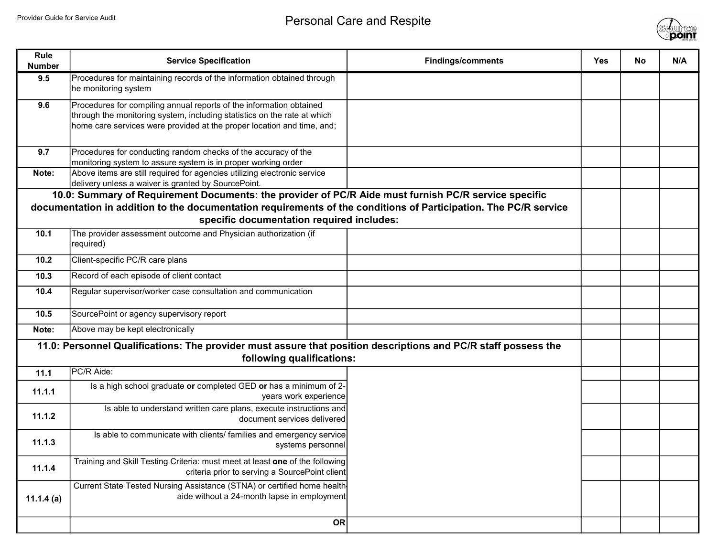

| Rule<br><b>Number</b> | <b>Service Specification</b>                                                                                                                       | <b>Findings/comments</b> | <b>Yes</b> | No. | N/A |
|-----------------------|----------------------------------------------------------------------------------------------------------------------------------------------------|--------------------------|------------|-----|-----|
| 9.5                   | Procedures for maintaining records of the information obtained through                                                                             |                          |            |     |     |
|                       | he monitoring system                                                                                                                               |                          |            |     |     |
| 9.6                   | Procedures for compiling annual reports of the information obtained                                                                                |                          |            |     |     |
|                       | through the monitoring system, including statistics on the rate at which<br>home care services were provided at the proper location and time, and; |                          |            |     |     |
|                       |                                                                                                                                                    |                          |            |     |     |
| 9.7                   | Procedures for conducting random checks of the accuracy of the                                                                                     |                          |            |     |     |
|                       | monitoring system to assure system is in proper working order                                                                                      |                          |            |     |     |
| Note:                 | Above items are still required for agencies utilizing electronic service<br>delivery unless a waiver is granted by SourcePoint.                    |                          |            |     |     |
|                       | 10.0: Summary of Requirement Documents: the provider of PC/R Aide must furnish PC/R service specific                                               |                          |            |     |     |
|                       | documentation in addition to the documentation requirements of the conditions of Participation. The PC/R service                                   |                          |            |     |     |
|                       | specific documentation required includes:                                                                                                          |                          |            |     |     |
| 10.1                  | The provider assessment outcome and Physician authorization (if                                                                                    |                          |            |     |     |
|                       | required)                                                                                                                                          |                          |            |     |     |
| 10.2                  | Client-specific PC/R care plans                                                                                                                    |                          |            |     |     |
| 10.3                  | Record of each episode of client contact                                                                                                           |                          |            |     |     |
| 10.4                  | Regular supervisor/worker case consultation and communication                                                                                      |                          |            |     |     |
| 10.5                  | SourcePoint or agency supervisory report                                                                                                           |                          |            |     |     |
| Note:                 | Above may be kept electronically                                                                                                                   |                          |            |     |     |
|                       | 11.0: Personnel Qualifications: The provider must assure that position descriptions and PC/R staff possess the                                     |                          |            |     |     |
|                       | following qualifications:                                                                                                                          |                          |            |     |     |
| 11.1                  | PC/R Aide:                                                                                                                                         |                          |            |     |     |
| 11.1.1                | Is a high school graduate or completed GED or has a minimum of 2-                                                                                  |                          |            |     |     |
|                       | years work experience<br>Is able to understand written care plans, execute instructions and                                                        |                          |            |     |     |
| 11.1.2                | document services delivered                                                                                                                        |                          |            |     |     |
| 11.1.3                | Is able to communicate with clients/ families and emergency service                                                                                |                          |            |     |     |
|                       | systems personnel                                                                                                                                  |                          |            |     |     |
| 11.1.4                | Training and Skill Testing Criteria: must meet at least one of the following<br>criteria prior to serving a SourcePoint client                     |                          |            |     |     |
|                       | Current State Tested Nursing Assistance (STNA) or certified home health-                                                                           |                          |            |     |     |
| 11.1.4 $(a)$          | aide without a 24-month lapse in employment                                                                                                        |                          |            |     |     |
|                       | OR                                                                                                                                                 |                          |            |     |     |
|                       |                                                                                                                                                    |                          |            |     |     |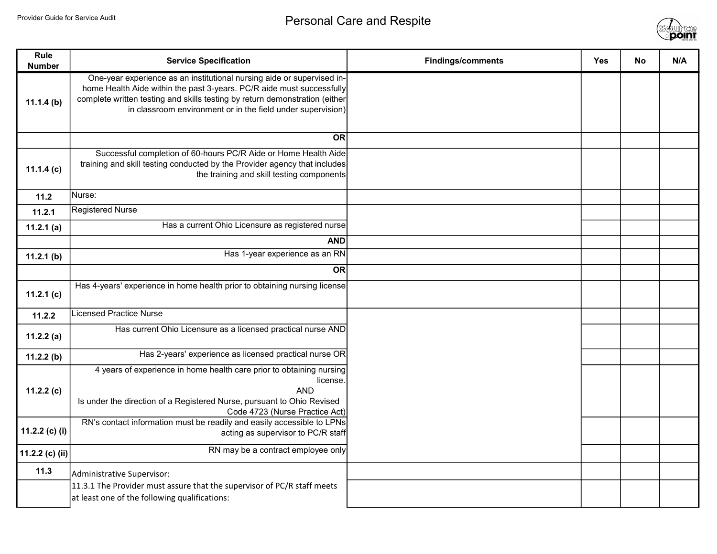

| Rule<br><b>Number</b> | <b>Service Specification</b>                                                                                                                                                                                                                                                                  | <b>Findings/comments</b> | <b>Yes</b> | <b>No</b> | N/A |
|-----------------------|-----------------------------------------------------------------------------------------------------------------------------------------------------------------------------------------------------------------------------------------------------------------------------------------------|--------------------------|------------|-----------|-----|
| 11.1.4(b)             | One-year experience as an institutional nursing aide or supervised in-<br>home Health Aide within the past 3-years. PC/R aide must successfully<br>complete written testing and skills testing by return demonstration (either<br>in classroom environment or in the field under supervision) |                          |            |           |     |
|                       | <b>OR</b>                                                                                                                                                                                                                                                                                     |                          |            |           |     |
| 11.1.4(c)             | Successful completion of 60-hours PC/R Aide or Home Health Aide<br>training and skill testing conducted by the Provider agency that includes<br>the training and skill testing components                                                                                                     |                          |            |           |     |
| 11.2                  | INurse:                                                                                                                                                                                                                                                                                       |                          |            |           |     |
| 11.2.1                | Registered Nurse                                                                                                                                                                                                                                                                              |                          |            |           |     |
| 11.2.1(a)             | Has a current Ohio Licensure as registered nurse                                                                                                                                                                                                                                              |                          |            |           |     |
|                       | <b>AND</b>                                                                                                                                                                                                                                                                                    |                          |            |           |     |
| 11.2.1(b)             | Has 1-year experience as an RN                                                                                                                                                                                                                                                                |                          |            |           |     |
|                       | <b>OR</b>                                                                                                                                                                                                                                                                                     |                          |            |           |     |
| 11.2.1 $(c)$          | Has 4-years' experience in home health prior to obtaining nursing license                                                                                                                                                                                                                     |                          |            |           |     |
| 11.2.2                | Licensed Practice Nurse                                                                                                                                                                                                                                                                       |                          |            |           |     |
| 11.2.2(a)             | Has current Ohio Licensure as a licensed practical nurse AND                                                                                                                                                                                                                                  |                          |            |           |     |
| 11.2.2(b)             | Has 2-years' experience as licensed practical nurse OR                                                                                                                                                                                                                                        |                          |            |           |     |
| 11.2.2 $(c)$          | 4 years of experience in home health care prior to obtaining nursing<br>license.<br><b>AND</b><br>Is under the direction of a Registered Nurse, pursuant to Ohio Revised<br>Code 4723 (Nurse Practice Act)                                                                                    |                          |            |           |     |
| 11.2.2 (c) (i)        | RN's contact information must be readily and easily accessible to LPNs<br>acting as supervisor to PC/R staff                                                                                                                                                                                  |                          |            |           |     |
| 11.2.2 (c) (ii)       | RN may be a contract employee only                                                                                                                                                                                                                                                            |                          |            |           |     |
| 11.3                  | Administrative Supervisor:                                                                                                                                                                                                                                                                    |                          |            |           |     |
|                       | 11.3.1 The Provider must assure that the supervisor of PC/R staff meets<br>at least one of the following qualifications:                                                                                                                                                                      |                          |            |           |     |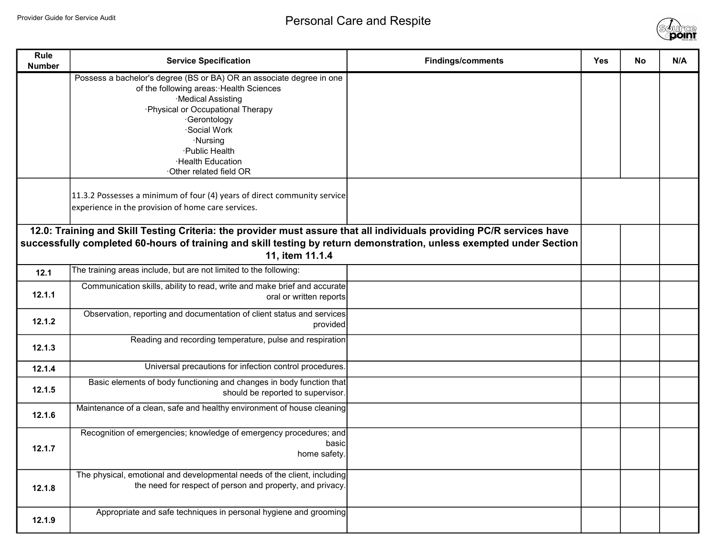

| Rule<br><b>Number</b>                                                                                                                                                                                                                                            | <b>Service Specification</b>                                                                                                                                                                                                                                                                 | <b>Findings/comments</b> | <b>Yes</b> | <b>No</b> | N/A |
|------------------------------------------------------------------------------------------------------------------------------------------------------------------------------------------------------------------------------------------------------------------|----------------------------------------------------------------------------------------------------------------------------------------------------------------------------------------------------------------------------------------------------------------------------------------------|--------------------------|------------|-----------|-----|
|                                                                                                                                                                                                                                                                  | Possess a bachelor's degree (BS or BA) OR an associate degree in one<br>of the following areas: Health Sciences<br>·Medical Assisting<br>·Physical or Occupational Therapy<br>·Gerontology<br>Social Work<br>·Nursing<br>·Public Health<br><b>Health Education</b><br>Other related field OR |                          |            |           |     |
|                                                                                                                                                                                                                                                                  | 11.3.2 Possesses a minimum of four (4) years of direct community service<br>experience in the provision of home care services.                                                                                                                                                               |                          |            |           |     |
| 12.0: Training and Skill Testing Criteria: the provider must assure that all individuals providing PC/R services have<br>successfully completed 60-hours of training and skill testing by return demonstration, unless exempted under Section<br>11, item 11.1.4 |                                                                                                                                                                                                                                                                                              |                          |            |           |     |
| 12.1                                                                                                                                                                                                                                                             | The training areas include, but are not limited to the following:                                                                                                                                                                                                                            |                          |            |           |     |
| 12.1.1                                                                                                                                                                                                                                                           | Communication skills, ability to read, write and make brief and accurate<br>oral or written reports                                                                                                                                                                                          |                          |            |           |     |
| 12.1.2                                                                                                                                                                                                                                                           | Observation, reporting and documentation of client status and services<br>provided                                                                                                                                                                                                           |                          |            |           |     |
| 12.1.3                                                                                                                                                                                                                                                           | Reading and recording temperature, pulse and respiration                                                                                                                                                                                                                                     |                          |            |           |     |
| 12.1.4                                                                                                                                                                                                                                                           | Universal precautions for infection control procedures.                                                                                                                                                                                                                                      |                          |            |           |     |
| 12.1.5                                                                                                                                                                                                                                                           | Basic elements of body functioning and changes in body function that<br>should be reported to supervisor.                                                                                                                                                                                    |                          |            |           |     |
| 12.1.6                                                                                                                                                                                                                                                           | Maintenance of a clean, safe and healthy environment of house cleaning                                                                                                                                                                                                                       |                          |            |           |     |
| 12.1.7                                                                                                                                                                                                                                                           | Recognition of emergencies; knowledge of emergency procedures; and<br>basic<br>home safety.                                                                                                                                                                                                  |                          |            |           |     |
| 12.1.8                                                                                                                                                                                                                                                           | The physical, emotional and developmental needs of the client, including<br>the need for respect of person and property, and privacy.                                                                                                                                                        |                          |            |           |     |
| 12.1.9                                                                                                                                                                                                                                                           | Appropriate and safe techniques in personal hygiene and grooming                                                                                                                                                                                                                             |                          |            |           |     |